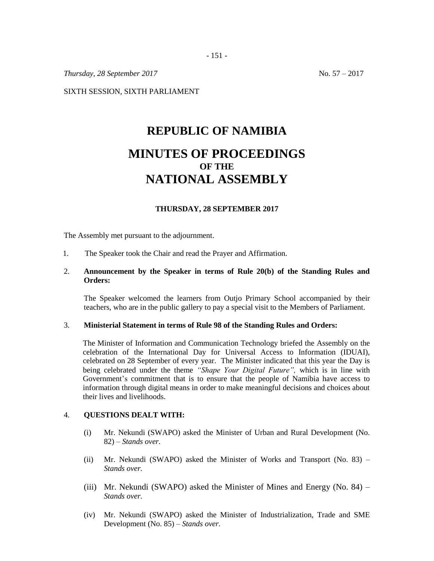*Thursday, 28 September 2017* No. 57 – 2017

SIXTH SESSION, SIXTH PARLIAMENT

# **REPUBLIC OF NAMIBIA MINUTES OF PROCEEDINGS OF THE NATIONAL ASSEMBLY**

#### **THURSDAY, 28 SEPTEMBER 2017**

The Assembly met pursuant to the adjournment.

1. The Speaker took the Chair and read the Prayer and Affirmation.

# 2. **Announcement by the Speaker in terms of Rule 20(b) of the Standing Rules and Orders:**

The Speaker welcomed the learners from Outjo Primary School accompanied by their teachers, who are in the public gallery to pay a special visit to the Members of Parliament.

### 3. **Ministerial Statement in terms of Rule 98 of the Standing Rules and Orders:**

The Minister of Information and Communication Technology briefed the Assembly on the celebration of the International Day for Universal Access to Information (IDUAI), celebrated on 28 September of every year. The Minister indicated that this year the Day is being celebrated under the theme *"Shape Your Digital Future",* which is in line with Government's commitment that is to ensure that the people of Namibia have access to information through digital means in order to make meaningful decisions and choices about their lives and livelihoods.

#### 4. **QUESTIONS DEALT WITH:**

- (i) Mr. Nekundi (SWAPO) asked the Minister of Urban and Rural Development (No. 82) – *Stands over.*
- (ii) Mr. Nekundi (SWAPO) asked the Minister of Works and Transport (No. 83) *Stands over.*
- (iii) Mr. Nekundi (SWAPO) asked the Minister of Mines and Energy (No. 84) *Stands over.*
- (iv) Mr. Nekundi (SWAPO) asked the Minister of Industrialization, Trade and SME Development (No. 85) – *Stands over.*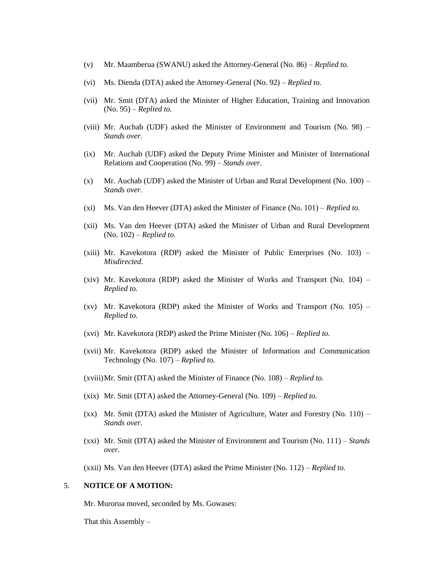- (v) Mr. Maamberua (SWANU) asked the Attorney-General (No. 86) *Replied to.*
- (vi) Ms. Dienda (DTA) asked the Attorney-General (No. 92) *Replied to.*
- (vii) Mr. Smit (DTA) asked the Minister of Higher Education, Training and Innovation (No. 95) – *Replied to.*
- (viii) Mr. Auchab (UDF) asked the Minister of Environment and Tourism (No. 98) *Stands over.*
- (ix) Mr. Auchab (UDF) asked the Deputy Prime Minister and Minister of International Relations and Cooperation (No. 99) – *Stands over.*
- $(x)$  Mr. Auchab (UDF) asked the Minister of Urban and Rural Development (No. 100) *Stands over.*
- (xi) Ms. Van den Heever (DTA) asked the Minister of Finance (No. 101) *Replied to.*
- (xii) Ms. Van den Heever (DTA) asked the Minister of Urban and Rural Development (No. 102) – *Replied to.*
- (xiii) Mr. Kavekotora (RDP) asked the Minister of Public Enterprises (No.  $103$ ) *Misdirected.*
- (xiv) Mr. Kavekotora (RDP) asked the Minister of Works and Transport (No. 104) *Replied to.*
- (xv) Mr. Kavekotora (RDP) asked the Minister of Works and Transport (No. 105) *Replied to.*
- (xvi) Mr. Kavekotora (RDP) asked the Prime Minister (No. 106) *Replied to.*
- (xvii) Mr. Kavekotora (RDP) asked the Minister of Information and Communication Technology (No. 107) – *Replied to.*
- (xviii)Mr. Smit (DTA) asked the Minister of Finance (No. 108) *Replied to.*
- (xix) Mr. Smit (DTA) asked the Attorney-General (No. 109) *Replied to.*
- $(xx)$  Mr. Smit (DTA) asked the Minister of Agriculture, Water and Forestry (No. 110) *Stands over.*
- (xxi) Mr. Smit (DTA) asked the Minister of Environment and Tourism (No. 111) *Stands over.*

(xxii) Ms. Van den Heever (DTA) asked the Prime Minister (No. 112) – *Replied to.*

#### 5. **NOTICE OF A MOTION:**

Mr. Murorua moved, seconded by Ms. Gowases:

That this Assembly –